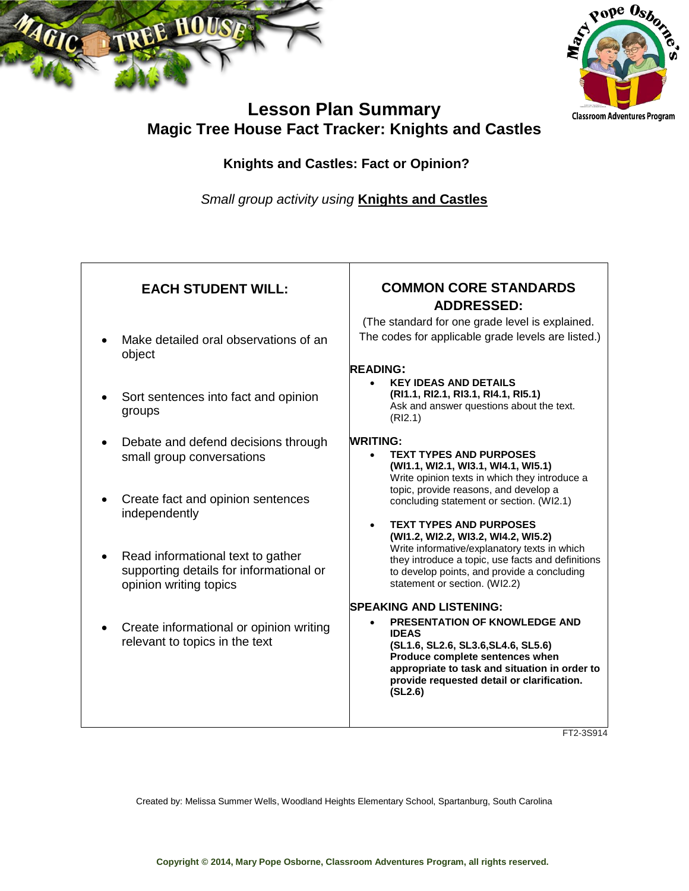



# **Lesson Plan Summary Magic Tree House Fact Tracker: Knights and Castles**

### **Knights and Castles: Fact or Opinion?**

*Small group activity using* **Knights and Castles**

| <b>EACH STUDENT WILL:</b>                                                                              | <b>COMMON CORE STANDARDS</b><br><b>ADDRESSED:</b>                                                                                                                                                                                                                          |
|--------------------------------------------------------------------------------------------------------|----------------------------------------------------------------------------------------------------------------------------------------------------------------------------------------------------------------------------------------------------------------------------|
| Make detailed oral observations of an<br>object                                                        | (The standard for one grade level is explained.<br>The codes for applicable grade levels are listed.)<br><b>READING:</b>                                                                                                                                                   |
| Sort sentences into fact and opinion<br>groups                                                         | <b>KEY IDEAS AND DETAILS</b><br>(RI1.1, RI2.1, RI3.1, RI4.1, RI5.1)<br>Ask and answer questions about the text.<br>(RI2.1)                                                                                                                                                 |
| Debate and defend decisions through<br>small group conversations                                       | <b>WRITING:</b><br><b>TEXT TYPES AND PURPOSES</b><br>(WI1.1, WI2.1, WI3.1, WI4.1, WI5.1)<br>Write opinion texts in which they introduce a                                                                                                                                  |
| Create fact and opinion sentences<br>independently                                                     | topic, provide reasons, and develop a<br>concluding statement or section. (WI2.1)<br><b>TEXT TYPES AND PURPOSES</b>                                                                                                                                                        |
| Read informational text to gather<br>supporting details for informational or<br>opinion writing topics | (WI1.2, WI2.2, WI3.2, WI4.2, WI5.2)<br>Write informative/explanatory texts in which<br>they introduce a topic, use facts and definitions<br>to develop points, and provide a concluding<br>statement or section. (WI2.2)                                                   |
| Create informational or opinion writing<br>relevant to topics in the text                              | <b>SPEAKING AND LISTENING:</b><br><b>PRESENTATION OF KNOWLEDGE AND</b><br><b>IDEAS</b><br>(SL1.6, SL2.6, SL3.6, SL4.6, SL5.6)<br>Produce complete sentences when<br>appropriate to task and situation in order to<br>provide requested detail or clarification.<br>(SL2.6) |
|                                                                                                        | TT22001                                                                                                                                                                                                                                                                    |

FT2-3S914

Created by: Melissa Summer Wells, Woodland Heights Elementary School, Spartanburg, South Carolina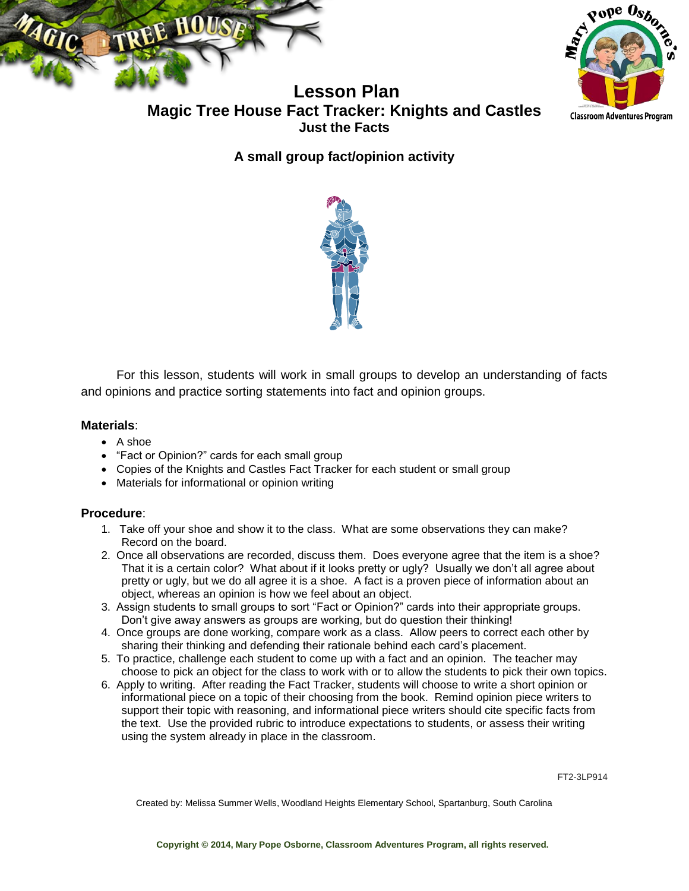



**Lesson Plan Magic Tree House Fact Tracker: Knights and Castles Just the Facts**

**A small group fact/opinion activity**



For this lesson, students will work in small groups to develop an understanding of facts and opinions and practice sorting statements into fact and opinion groups.

#### **Materials**:

- A shoe
- "Fact or Opinion?" cards for each small group
- Copies of the Knights and Castles Fact Tracker for each student or small group
- Materials for informational or opinion writing

#### **Procedure**:

- 1. Take off your shoe and show it to the class. What are some observations they can make? Record on the board.
- 2. Once all observations are recorded, discuss them. Does everyone agree that the item is a shoe? That it is a certain color? What about if it looks pretty or ugly? Usually we don't all agree about pretty or ugly, but we do all agree it is a shoe. A fact is a proven piece of information about an object, whereas an opinion is how we feel about an object.
- 3. Assign students to small groups to sort "Fact or Opinion?" cards into their appropriate groups. Don't give away answers as groups are working, but do question their thinking!
- 4. Once groups are done working, compare work as a class. Allow peers to correct each other by sharing their thinking and defending their rationale behind each card's placement.
- 5. To practice, challenge each student to come up with a fact and an opinion. The teacher may choose to pick an object for the class to work with or to allow the students to pick their own topics.
- 6. Apply to writing. After reading the Fact Tracker, students will choose to write a short opinion or informational piece on a topic of their choosing from the book. Remind opinion piece writers to support their topic with reasoning, and informational piece writers should cite specific facts from the text. Use the provided rubric to introduce expectations to students, or assess their writing using the system already in place in the classroom.

FT2-3LP914

Created by: Melissa Summer Wells, Woodland Heights Elementary School, Spartanburg, South Carolina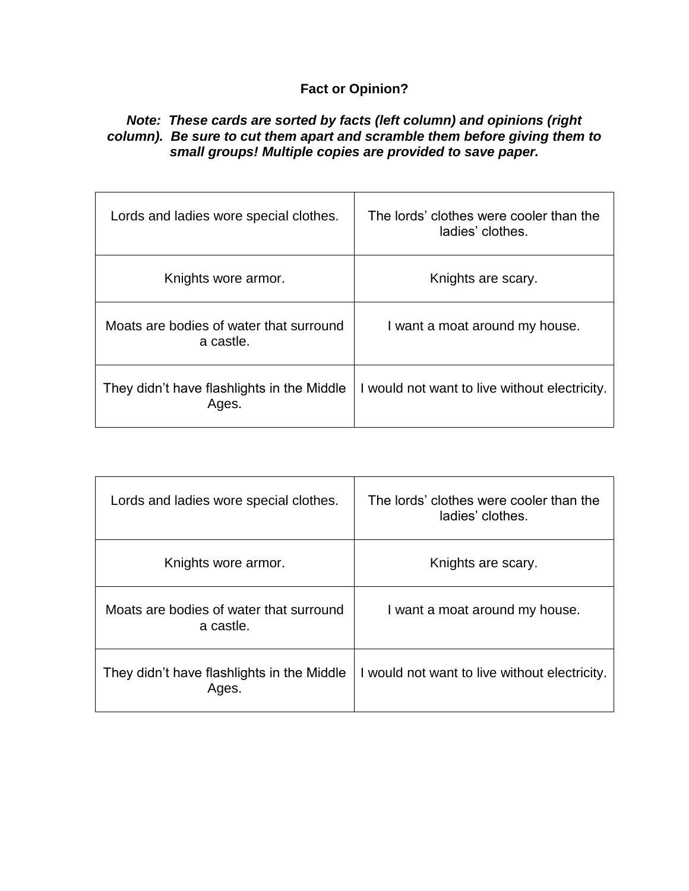## **Fact or Opinion?**

### *Note: These cards are sorted by facts (left column) and opinions (right column). Be sure to cut them apart and scramble them before giving them to small groups! Multiple copies are provided to save paper.*

| Lords and ladies wore special clothes.               | The lords' clothes were cooler than the<br>ladies' clothes. |
|------------------------------------------------------|-------------------------------------------------------------|
| Knights wore armor.                                  | Knights are scary.                                          |
| Moats are bodies of water that surround<br>a castle. | I want a moat around my house.                              |
| They didn't have flashlights in the Middle<br>Ages.  | I would not want to live without electricity.               |

| Lords and ladies wore special clothes.               | The lords' clothes were cooler than the<br>ladies' clothes. |
|------------------------------------------------------|-------------------------------------------------------------|
| Knights wore armor.                                  | Knights are scary.                                          |
| Moats are bodies of water that surround<br>a castle. | I want a moat around my house.                              |
| They didn't have flashlights in the Middle<br>Ages.  | I would not want to live without electricity.               |